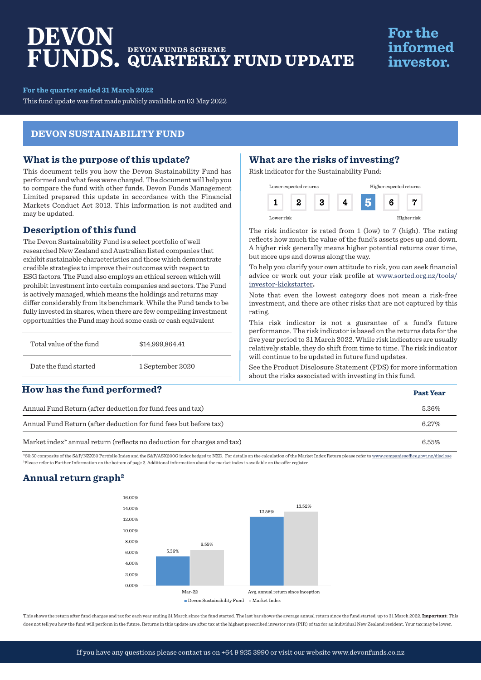# DEVON **DEVON FUNDS SCHEME QUARTERLY FUND UPDATE**

## **For the** informed investor.

**For the quarter ended 31 March 2022**

This fund update was first made publicly available on 03 May 2022

#### **DEVON SUSTAINABILITY FUND**

#### **What is the purpose of this update?**

This document tells you how the Devon Sustainability Fund has performed and what fees were charged. The document will help you to compare the fund with other funds. Devon Funds Management Limited prepared this update in accordance with the Financial Markets Conduct Act 2013. This information is not audited and may be updated.

#### **Description of this fund**

The Devon Sustainability Fund is a select portfolio of well researched New Zealand and Australian listed companies that exhibit sustainable characteristics and those which demonstrate credible strategies to improve their outcomes with respect to ESG factors. The Fund also employs an ethical screen which will prohibit investment into certain companies and sectors. The Fund is actively managed, which means the holdings and returns may differ considerably from its benchmark. While the Fund tends to be fully invested in shares, when there are few compelling investment opportunities the Fund may hold some cash or cash equivalent

| Total value of the fund | \$14,999,864.41  |  |
|-------------------------|------------------|--|
| Date the fund started   | 1 September 2020 |  |

## **How has the fund performed?**

## **What are the risks of investing?**

Risk indicator for the Sustainability Fund:



The risk indicator is rated from 1 (low) to 7 (high). The rating reflects how much the value of the fund's assets goes up and down. A higher risk generally means higher potential returns over time, but more ups and downs along the way.

To help you clarify your own attitude to risk, you can seek financial advice or work out your risk profile at [www.sorted.org.nz/tools/](http://www.sorted.org.nz/tools/investor-kickstarter) [investor-kickstarter](http://www.sorted.org.nz/tools/investor-kickstarter)**.**

Note that even the lowest category does not mean a risk-free investment, and there are other risks that are not captured by this rating.

This risk indicator is not a guarantee of a fund's future performance. The risk indicator is based on the returns data for the five year period to 31 March 2022. While risk indicators are usually relatively stable, they do shift from time to time. The risk indicator will continue to be updated in future fund updates.

See the [Product Disclosure Statement \(PDS\)](https://devonfunds.co.nz/sites/default/files/Devon%20Investment%20Funds%20Product%20Disclosure%20Statement.pdf) for more information about the risks associated with investing in this fund.

| now has the fund performed:                                                         | <b>Past Year</b> |
|-------------------------------------------------------------------------------------|------------------|
| Annual Fund Return (after deduction for fund fees and tax)                          | 5.36%            |
| Annual Fund Return (after deduction for fund fees but before tax)                   | 6.27%            |
| Market index <sup>*</sup> annual return (reflects no deduction for charges and tax) | 6.55%            |

\*50:50 composite of the S&P/NZX50 Portfolio Index and the S&P/ASX200G index hedged to NZD. For details on the calculation of the Market Index Return please refer to www.companiesoffice.govt.nz/disclose 1 Please refer to Further Information on the bottom of page 2. Additional information about the market index is available on the offer register.

## **Annual return graph2**



This shows the return after fund charges and tax for each year ending 31 March since the fund started. The last bar shows the average annual return since the fund started, up to 31 March 2022. **Important**: This does not tell you how the fund will perform in the future. Returns in this update are after tax at the highest prescribed investor rate (PIR) of tax for an individual New Zealand resident. Your tax may be lower.